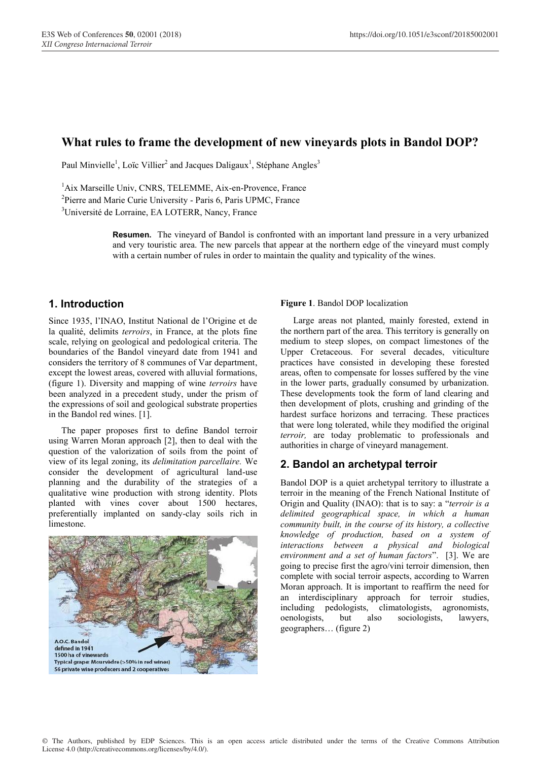# **What rules to frame the development of new vineyards plots in Bandol DOP?**

Paul Minvielle<sup>1</sup>, Loïc Villier<sup>2</sup> and Jacques Daligaux<sup>1</sup>, Stéphane Angles<sup>3</sup>

<sup>1</sup>Aix Marseille Univ, CNRS, TELEMME, Aix-en-Provence, France <sup>2</sup>Pierre and Marie Curie University - Paris 6, Paris UPMC, France

3 Université de Lorraine, EA LOTERR, Nancy, France

**Resumen.** The vineyard of Bandol is confronted with an important land pressure in a very urbanized and very touristic area. The new parcels that appear at the northern edge of the vineyard must comply with a certain number of rules in order to maintain the quality and typicality of the wines.

## **1. Introduction**

Since 1935, l'INAO, Institut National de l'Origine et de la qualité, delimits *terroirs*, in France, at the plots fine scale, relying on geological and pedological criteria. The boundaries of the Bandol vineyard date from 1941 and considers the territory of 8 communes of Var department, except the lowest areas, covered with alluvial formations, (figure 1). Diversity and mapping of wine *terroirs* have been analyzed in a precedent study, under the prism of the expressions of soil and geological substrate properties in the Bandol red wines. [1].

The paper proposes first to define Bandol terroir using Warren Moran approach [2], then to deal with the question of the valorization of soils from the point of view of its legal zoning, its *delimitation parcellaire.* We consider the development of agricultural land-use planning and the durability of the strategies of a qualitative wine production with strong identity. Plots planted with vines cover about 1500 hectares, preferentially implanted on sandy-clay soils rich in limestone.



#### **Figure 1**. Bandol DOP localization

Large areas not planted, mainly forested, extend in the northern part of the area. This territory is generally on medium to steep slopes, on compact limestones of the Upper Cretaceous. For several decades, viticulture practices have consisted in developing these forested areas, often to compensate for losses suffered by the vine in the lower parts, gradually consumed by urbanization. These developments took the form of land clearing and then development of plots, crushing and grinding of the hardest surface horizons and terracing. These practices that were long tolerated, while they modified the original *terroir,* are today problematic to professionals and authorities in charge of vineyard management.

### **2. Bandol an archetypal terroir**

Bandol DOP is a quiet archetypal territory to illustrate a terroir in the meaning of the French National Institute of Origin and Quality (INAO): that is to say: a "*terroir is a delimited geographical space, in which a human community built, in the course of its history, a collective knowledge of production, based on a system of interactions between a physical and biological environment and a set of human factors*". [3]. We are going to precise first the agro/vini terroir dimension, then complete with social terroir aspects, according to Warren Moran approach. It is important to reaffirm the need for an interdisciplinary approach for terroir studies, including pedologists, climatologists, agronomists, oenologists, but also sociologists, lawyers, geographers… (figure 2)

© The Authors, published by EDP Sciences. This is an open access article distributed under the terms of the Creative Commons Attribution License 4.0 (http://creativecommons.org/licenses/by/4.0/).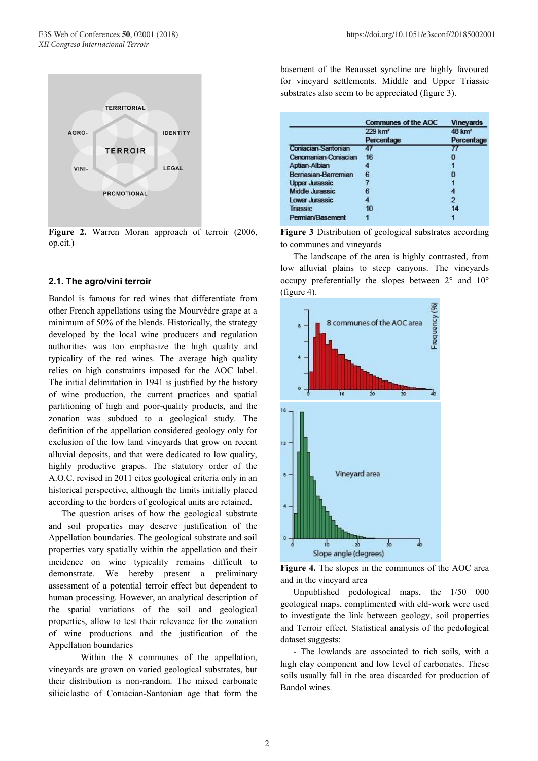

Figure 2. Warren Moran approach of terroir (2006, op.cit.)

### **2.1. The agro/vini terroir**

Bandol is famous for red wines that differentiate from other French appellations using the Mourvèdre grape at a minimum of 50% of the blends. Historically, the strategy developed by the local wine producers and regulation authorities was too emphasize the high quality and typicality of the red wines. The average high quality relies on high constraints imposed for the AOC label. The initial delimitation in 1941 is justified by the history of wine production, the current practices and spatial partitioning of high and poor-quality products, and the zonation was subdued to a geological study. The definition of the appellation considered geology only for exclusion of the low land vineyards that grow on recent alluvial deposits, and that were dedicated to low quality, highly productive grapes. The statutory order of the A.O.C. revised in 2011 cites geological criteria only in an historical perspective, although the limits initially placed according to the borders of geological units are retained.

The question arises of how the geological substrate and soil properties may deserve justification of the Appellation boundaries. The geological substrate and soil properties vary spatially within the appellation and their incidence on wine typicality remains difficult to demonstrate. We hereby present a preliminary assessment of a potential terroir effect but dependent to human processing. However, an analytical description of the spatial variations of the soil and geological properties, allow to test their relevance for the zonation of wine productions and the justification of the Appellation boundaries

Within the 8 communes of the appellation, vineyards are grown on varied geological substrates, but their distribution is non-random. The mixed carbonate siliciclastic of Coniacian-Santonian age that form the

basement of the Beausset syncline are highly favoured for vineyard settlements. Middle and Upper Triassic substrates also seem to be appreciated (figure 3).

|                            | <b>Communes of the AOC</b> | <b>Vineyards</b>   |
|----------------------------|----------------------------|--------------------|
|                            | 229 km <sup>2</sup>        | 48 km <sup>2</sup> |
|                            | Percentage                 | Percentage         |
| <b>Coniacian-Santonian</b> |                            |                    |
| Cenomanian-Coniacian       | 16                         |                    |
| Aptian-Albian              |                            |                    |
| Berriasian-Barremian       | 6                          | n                  |
| <b>Upper Jurassic</b>      |                            |                    |
| Middle Jurassic            | в                          |                    |
| Lower Jurassic             |                            | 2                  |
| <b>Triassic</b>            | 10                         | 14                 |
| Permian/Basement           |                            |                    |

**Figure 3** Distribution of geological substrates according to communes and vineyards

The landscape of the area is highly contrasted, from low alluvial plains to steep canyons. The vineyards occupy preferentially the slopes between 2° and 10° (figure 4).



**Figure 4.** The slopes in the communes of the AOC area and in the vineyard area

Unpublished pedological maps, the 1/50 000 geological maps, complimented with eld-work were used to investigate the link between geology, soil properties and Terroir effect. Statistical analysis of the pedological dataset suggests:

- The lowlands are associated to rich soils, with a high clay component and low level of carbonates. These soils usually fall in the area discarded for production of Bandol wines.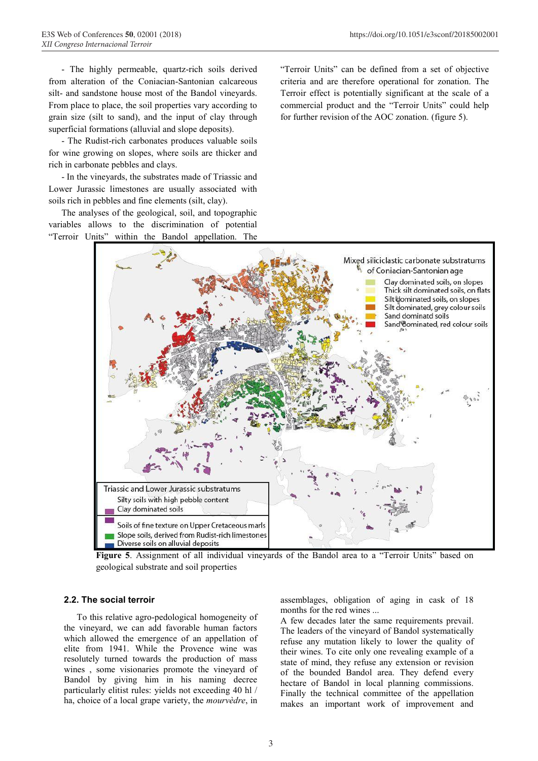- The highly permeable, quartz-rich soils derived from alteration of the Coniacian-Santonian calcareous silt- and sandstone house most of the Bandol vineyards. From place to place, the soil properties vary according to grain size (silt to sand), and the input of clay through superficial formations (alluvial and slope deposits).

- The Rudist-rich carbonates produces valuable soils for wine growing on slopes, where soils are thicker and rich in carbonate pebbles and clays.

- In the vineyards, the substrates made of Triassic and Lower Jurassic limestones are usually associated with soils rich in pebbles and fine elements (silt, clay).

The analyses of the geological, soil, and topographic variables allows to the discrimination of potential "Terroir Units" within the Bandol appellation. The "Terroir Units" can be defined from a set of objective criteria and are therefore operational for zonation. The Terroir effect is potentially significant at the scale of a commercial product and the "Terroir Units" could help for further revision of the AOC zonation. (figure 5).



**Figure 5**. Assignment of all individual vineyards of the Bandol area to a "Terroir Units" based on geological substrate and soil properties

### **2.2. The social terroir**

To this relative agro-pedological homogeneity of the vineyard, we can add favorable human factors which allowed the emergence of an appellation of elite from 1941. While the Provence wine was resolutely turned towards the production of mass wines , some visionaries promote the vineyard of Bandol by giving him in his naming decree particularly elitist rules: yields not exceeding 40 hl / ha, choice of a local grape variety, the *mourvèdre*, in

assemblages, obligation of aging in cask of 18 months for the red wines ...

A few decades later the same requirements prevail. The leaders of the vineyard of Bandol systematically refuse any mutation likely to lower the quality of their wines. To cite only one revealing example of a state of mind, they refuse any extension or revision of the bounded Bandol area. They defend every hectare of Bandol in local planning commissions. Finally the technical committee of the appellation makes an important work of improvement and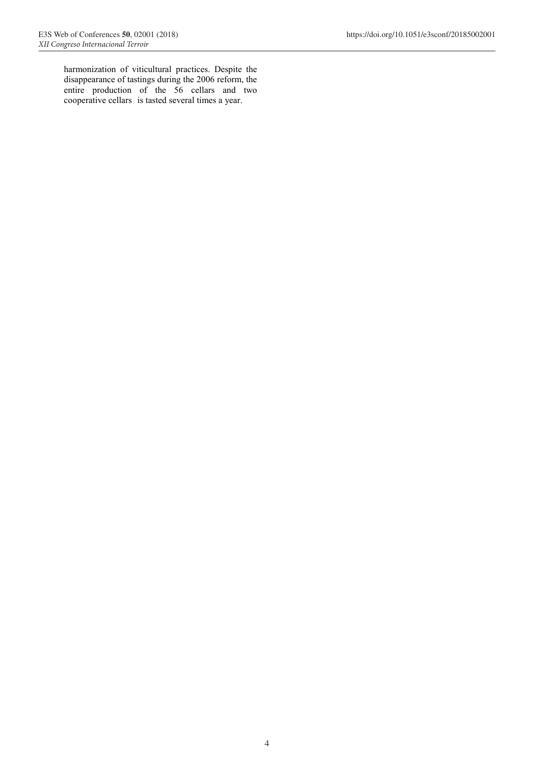harmonization of viticultural practices. Despite the disappearance of tastings during the 2006 reform, the entire production of the 56 cellars and two cooperative cellars is tasted several times a year.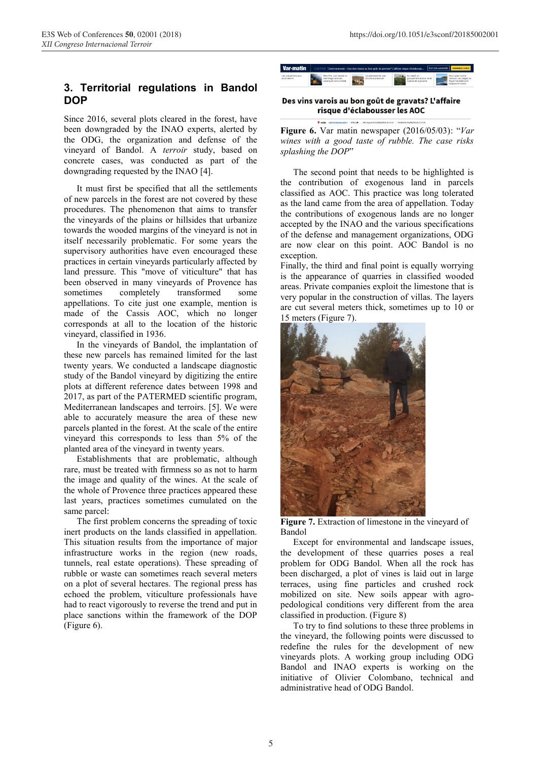# **3. Territorial regulations in Bandol DOP**

Since 2016, several plots cleared in the forest, have been downgraded by the INAO experts, alerted by the ODG, the organization and defense of the vineyard of Bandol. A *terroir* study, based on concrete cases, was conducted as part of the downgrading requested by the INAO [4].

It must first be specified that all the settlements of new parcels in the forest are not covered by these procedures. The phenomenon that aims to transfer the vineyards of the plains or hillsides that urbanize towards the wooded margins of the vineyard is not in itself necessarily problematic. For some years the supervisory authorities have even encouraged these practices in certain vineyards particularly affected by land pressure. This "move of viticulture" that has been observed in many vineyards of Provence has sometimes completely transformed some appellations. To cite just one example, mention is made of the Cassis AOC, which no longer corresponds at all to the location of the historic vineyard, classified in 1936.

In the vineyards of Bandol, the implantation of these new parcels has remained limited for the last twenty years. We conducted a landscape diagnostic study of the Bandol vineyard by digitizing the entire plots at different reference dates between 1998 and 2017, as part of the PATERMED scientific program, Mediterranean landscapes and terroirs. [5]. We were able to accurately measure the area of these new parcels planted in the forest. At the scale of the entire vineyard this corresponds to less than 5% of the planted area of the vineyard in twenty years.

Establishments that are problematic, although rare, must be treated with firmness so as not to harm the image and quality of the wines. At the scale of the whole of Provence three practices appeared these last years, practices sometimes cumulated on the same parcel:

The first problem concerns the spreading of toxic inert products on the lands classified in appellation. This situation results from the importance of major infrastructure works in the region (new roads, tunnels, real estate operations). These spreading of rubble or waste can sometimes reach several meters on a plot of several hectares. The regional press has echoed the problem, viticulture professionals have had to react vigorously to reverse the trend and put in place sanctions within the framework of the DOP (Figure 6).

| Var-matin                           | <setour  environnement=""> Des vins varois au bon goût de gravats? L'affaire risque d'éclabouss</setour> |                                                                           |  |                                              |  |                                          | <b>EDITION ABONNES ABONNEZ-VOUS</b>                                                                |
|-------------------------------------|----------------------------------------------------------------------------------------------------------|---------------------------------------------------------------------------|--|----------------------------------------------|--|------------------------------------------|----------------------------------------------------------------------------------------------------|
| Les subventions aux<br>associations |                                                                                                          | PHOTOS L'art delicat du<br>cieminage dans les<br>valancy, es de La Ciotat |  | Le pastoralisme, une<br>activité à préserver |  | tis creent un<br>brougement autour de la | Pour jutter contre<br>l'erosion, les places du<br><b>Deuts-Canadial sore</b><br>duars exhibitions. |

#### Des vins varois au bon goût de gravats? L'affaire risque d'éclabousser les AOC

**ENT PAR J.R.** Mis A jour le t

**Figure 6.** Var matin newspaper (2016/05/03): "*Var wines with a good taste of rubble. The case risks splashing the DOP*"

The second point that needs to be highlighted is the contribution of exogenous land in parcels classified as AOC. This practice was long tolerated as the land came from the area of appellation. Today the contributions of exogenous lands are no longer accepted by the INAO and the various specifications of the defense and management organizations, ODG are now clear on this point. AOC Bandol is no exception.

Finally, the third and final point is equally worrying is the appearance of quarries in classified wooded areas. Private companies exploit the limestone that is very popular in the construction of villas. The layers are cut several meters thick, sometimes up to 10 or 15 meters (Figure 7).



**Figure 7.** Extraction of limestone in the vineyard of Bandol

Except for environmental and landscape issues, the development of these quarries poses a real problem for ODG Bandol. When all the rock has been discharged, a plot of vines is laid out in large terraces, using fine particles and crushed rock mobilized on site. New soils appear with agropedological conditions very different from the area classified in production. (Figure 8)

To try to find solutions to these three problems in the vineyard, the following points were discussed to redefine the rules for the development of new vineyards plots. A working group including ODG Bandol and INAO experts is working on the initiative of Olivier Colombano, technical and administrative head of ODG Bandol.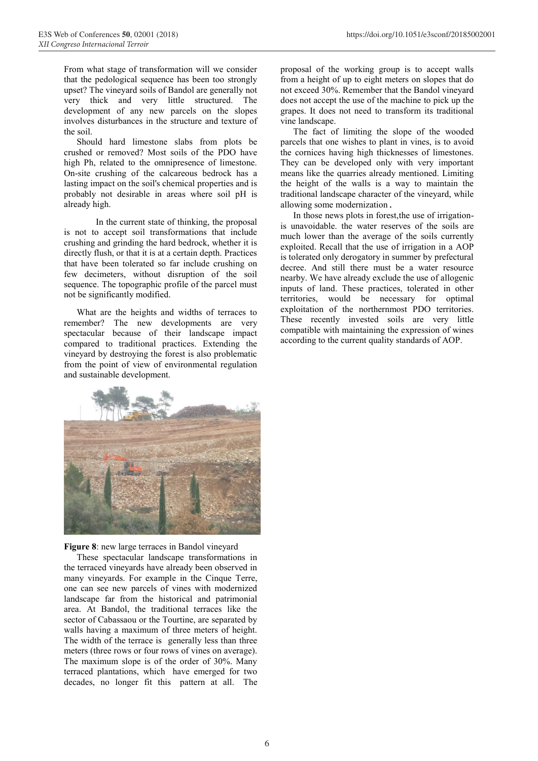From what stage of transformation will we consider that the pedological sequence has been too strongly upset? The vineyard soils of Bandol are generally not very thick and very little structured. The development of any new parcels on the slopes involves disturbances in the structure and texture of the soil.

Should hard limestone slabs from plots be crushed or removed? Most soils of the PDO have high Ph, related to the omnipresence of limestone. On-site crushing of the calcareous bedrock has a lasting impact on the soil's chemical properties and is probably not desirable in areas where soil pH is already high.

In the current state of thinking, the proposal is not to accept soil transformations that include crushing and grinding the hard bedrock, whether it is directly flush, or that it is at a certain depth. Practices that have been tolerated so far include crushing on few decimeters, without disruption of the soil sequence. The topographic profile of the parcel must not be significantly modified.

What are the heights and widths of terraces to remember? The new developments are very spectacular because of their landscape impact compared to traditional practices. Extending the vineyard by destroying the forest is also problematic from the point of view of environmental regulation and sustainable development.

proposal of the working group is to accept walls from a height of up to eight meters on slopes that do not exceed 30%. Remember that the Bandol vineyard does not accept the use of the machine to pick up the grapes. It does not need to transform its traditional vine landscape.

The fact of limiting the slope of the wooded parcels that one wishes to plant in vines, is to avoid the cornices having high thicknesses of limestones. They can be developed only with very important means like the quarries already mentioned. Limiting the height of the walls is a way to maintain the traditional landscape character of the vineyard, while allowing some modernization.

In those news plots in forest,the use of irrigationis unavoidable. the water reserves of the soils are much lower than the average of the soils currently exploited. Recall that the use of irrigation in a AOP is tolerated only derogatory in summer by prefectural decree. And still there must be a water resource nearby. We have already exclude the use of allogenic inputs of land. These practices, tolerated in other territories, would be necessary for optimal exploitation of the northernmost PDO territories. These recently invested soils are very little compatible with maintaining the expression of wines according to the current quality standards of AOP.



**Figure 8**: new large terraces in Bandol vineyard

These spectacular landscape transformations in the terraced vineyards have already been observed in many vineyards. For example in the Cinque Terre, one can see new parcels of vines with modernized landscape far from the historical and patrimonial area. At Bandol, the traditional terraces like the sector of Cabassaou or the Tourtine, are separated by walls having a maximum of three meters of height. The width of the terrace is generally less than three meters (three rows or four rows of vines on average). The maximum slope is of the order of 30%. Many terraced plantations, which have emerged for two decades, no longer fit this pattern at all. The